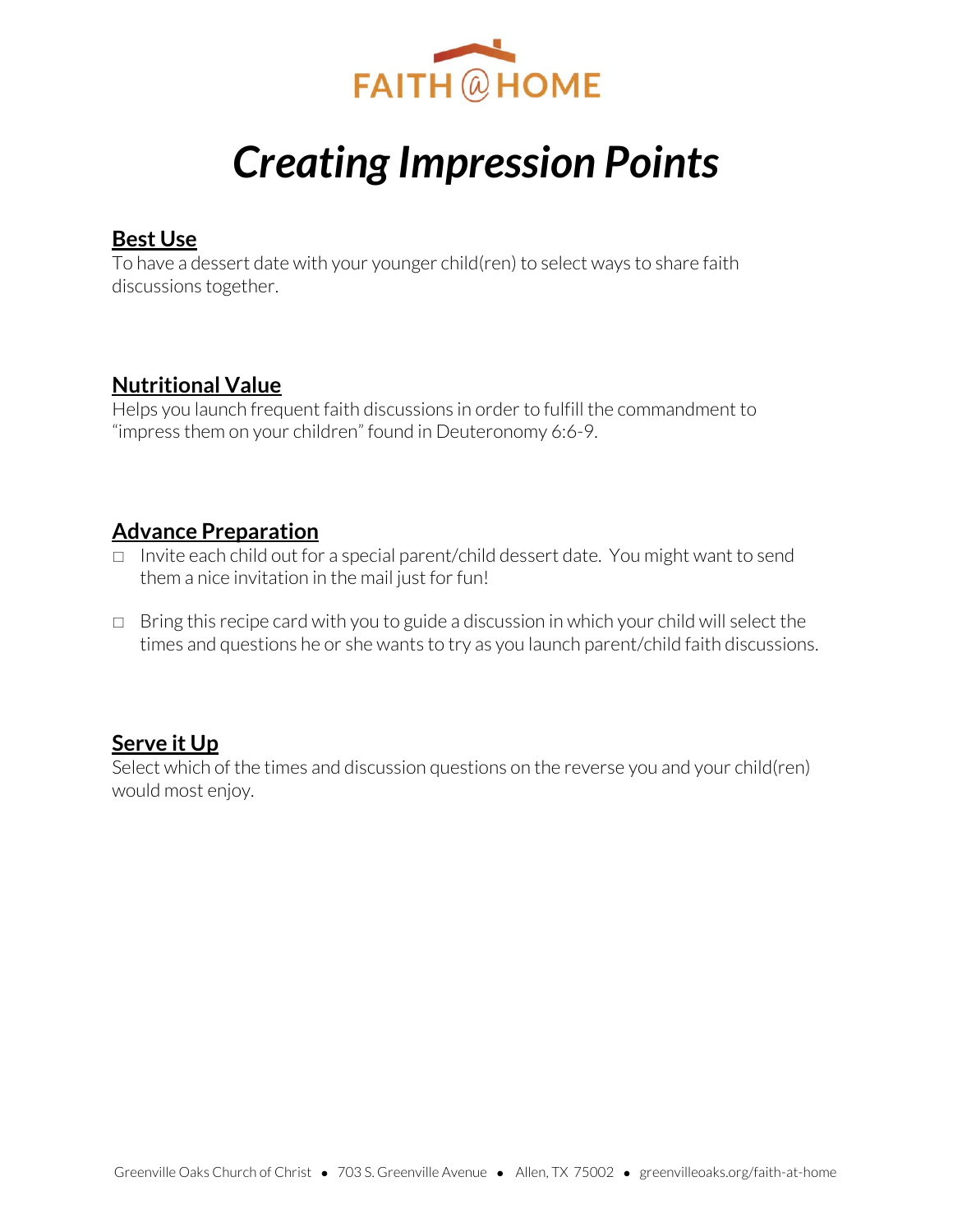

# *Creating Impression Points*

### **Best Use**

To have a dessert date with your younger child(ren) to select ways to share faith discussions together.

## **Nutritional Value**

Helps you launch frequent faith discussions in order to fulfill the commandment to "impress them on your children" found in Deuteronomy 6:6-9.

# **Advance Preparation**

- □ Invite each child out for a special parent/child dessert date. You might want to send them a nice invitation in the mail just for fun!
- $\Box$  Bring this recipe card with you to guide a discussion in which your child will select the times and questions he or she wants to try as you launch parent/child faith discussions.

# **Serve it Up**

Select which of the times and discussion questions on the reverse you and your child(ren) would most enjoy.